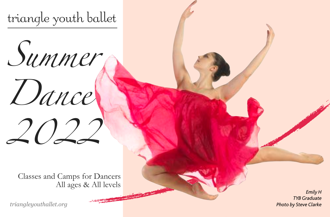triangle youth ballet



*2022*

Classes and Camps for Dancers All ages & All levels

*triangleyouthallet.org*

*1 Photo by Steve Clarke Emily H TYB Graduate*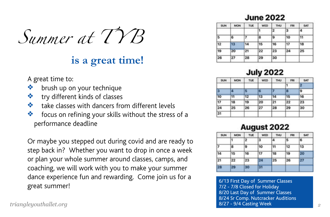*Summer at T YB* 

# **is a great time!**

- A great time to:
- ❖ brush up on your technique
- ❖ try different kinds of classes
- ❖ take classes with dancers from different levels
- ❖ focus on refining your skills without the stress of a performance deadline

Or maybe you stepped out during covid and are ready to step back in? Whether you want to drop in once a week or plan your whole summer around classes, camps, and coaching, we will work with you to make your summer dance experience fun and rewarding. Come join us for a great summer!<br>great summer!<br>T/2 - 7/8 Closed for Holiday

| <b>SUN</b> | <b>MON</b> | <b>TUE</b> | WED | <b>THU</b> | FRI | <b>SAT</b> |
|------------|------------|------------|-----|------------|-----|------------|
|            |            |            |     | 2          | з   | l4         |
| 5          | 6          | 7          | l8  | 19         | 10  | 11         |
| 12         | 13         | 14         | 15  | 16         | 17  | 18         |
| 19         | 20         | 21         | 22  | 23         | 24  | 25         |
| 26         | 27         | 28         | 29  | 30         |     |            |
|            |            |            |     |            |     |            |

# **July 2022**

| <b>SUN</b> | <b>MON</b> | TUE | WED | <b>THU</b> | FRI | SAT |
|------------|------------|-----|-----|------------|-----|-----|
|            |            |     |     |            |     | п   |
| 13         | 4          | в   | œ   | 7          | o   | 9   |
| 10         | 11         | 12  | 13  | 14         | 15  | 16  |
| 17         | 18         | 19  | 20  | 21         | 22  | 23  |
| 24         | 25         | 26  | 27  | 28         | 29  | 30  |
| 31         |            |     |     |            |     |     |

# August 2022

| <b>SUN</b> | MON | TUE          | WED | <b>THU</b> | FRI | <b>SAT</b> |
|------------|-----|--------------|-----|------------|-----|------------|
|            |     | $\mathbf{2}$ | з   | 14         | 5   | 16         |
|            | 8   | 9            | 10  | 11         | 12  | 13         |
| 14         | 15  | 16           | 17  | 18         | 19  | 20         |
| 21         | 22  | 23           | 24  | 25         | 26  | 27         |
| 28         | 29  | 30           | 困   |            |     |            |

*triangleyouthallet.org 2* 7/2 - 7/8 Closed for Holiday 8/20 Last Day of Summer Classes 8/24 Sr Comp. Nutcracker Auditions 8/27 - 9/4 Casting Week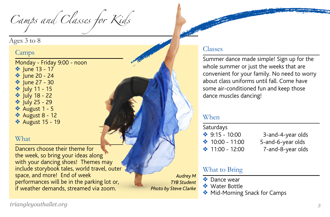*Camps and Classes for Kids*

#### Ages 3 to 8

#### Camps

Monday - Friday 9:00 - noon ◆ June 13 - 17 **❖** lune 20 - 24 ❖ June 27 - 30 ❖ July 11 - 15 ❖ July 18 - 22

- ❖ July 25 29
- ❖ August 1 5
- ❖ August 8 12
- ❖ August 15 19

#### **What**

Dancers choose their theme for the week, so bring your ideas along with your dancing shoes! Themes may include storybook tales, world travel, outer space, and more! End of week performances will be in the parking lot or, if weather demands, streamed via zoom.

*Audrey M TYB Student Photo by Steve Clarke*

#### Classes

Summer dance made simple! Sign up for the whole summer or just the weeks that are convenient for your family. No need to worry about class uniforms until fall. Come have some air-conditioned fun and keep those dance muscles dancing!

#### When

| Saturdays |                   |     |  |  |
|-----------|-------------------|-----|--|--|
|           | ❖ $9:15 - 10:00$  | 3   |  |  |
|           | ◆ 10:00 - 11:00   | 5-a |  |  |
|           | ❖ $11:00 - 12:00$ | 7   |  |  |

and-4-year olds and-6-year olds -and-8-year olds

#### What to Bring

- ❖ Dance wear
- ❖ Water Bottle
- ◆ Mid-Morning Snack for Camps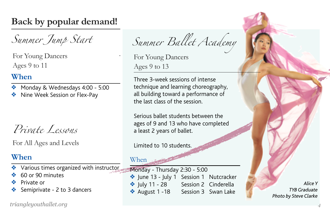# **Back by popular demand!**

*Summer Jump Start*

For Young Dancers Ages 9 to 11

### **When**

- ❖ Monday & Wednesdays 4:00 5:00
- ❖ Nine Week Session or Flex-Pay

*Private Lessons*

For All Ages and Levels

# **When**

- Various times organized with instructor
- ❖ 60 or 90 minutes
- ❖ Private or
- Semiprivate 2 to 3 dancers

*triangleyouthallet.org 4*

*Summer Ballet Academy*

For Young Dancers Ages 9 to 13

Three 3-week sessions of intense technique and learning choreography, all building toward a performance of the last class of the session.

Serious ballet students between the ages of 9 and 13 who have completed a least 2 years of ballet.

Limited to 10 students.

When

Monday - Thursday 2:30 - 5:00 ❖ June 13 - July 1 Session 1 Nutcracker ◆ July 11 - 28 Session 2 Cinderella ◆ August 1 -18 Session 3 Swan Lake

*Alice Y TYB Graduate Photo by Steve Clarke*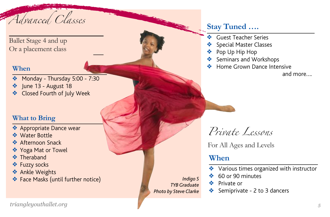*Advanced Classes*

Ballet Stage 4 and up Or a placement class

#### **When**

- ❖ Monday Thursday 5:00 7:30
- ❖ June 13 August 18
- ❖ Closed Fourth of July Week

#### **What to Bring**

- ❖ Appropriate Dance wear
- ❖ Water Bottle
- ❖ Afternoon Snack
- ❖ Yoga Mat or Towel
- ❖ Theraband
- ❖ Fuzzy socks
- ❖ Ankle Weights
- ❖ Face Masks (until further notice)

*Indigo S TYB Graduate Photo by Steve Clarke*

# **Stay Tuned ….**

- ❖ Guest Teacher Series
- Special Master Classes
- Pop Up Hip Hop
- Seminars and Workshops
- ❖ Home Grown Dance Intensive

and more….

*Private Lessons*

For All Ages and Levels

# **When**

- ❖ Various times organized with instructor
- ❖ 60 or 90 minutes
- ❖ Private or
- Semiprivate 2 to 3 dancers

*triangleyouthallet.org 5*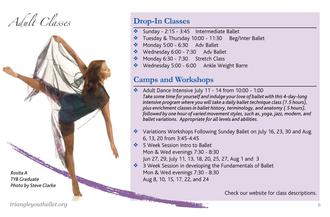*Adult Classes* **Drop-In Classes** 



- Sunday 2:15 3:45 Intermediate Ballet
- Tuesday & Thursday 10:00 11:30 Beg/Inter Ballet
- Monday 5:00 6:30 Adv Ballet
- ❖ Wednesday 6:00 7:30 Adv Ballet
- Monday 6:30 7:30 Stretch Class
- ❖ Wednesday 5:00 6:00 Ankle Weight Barre

# **Camps and Workshops**

- ❖ Adult Dance Intensive July 11 14 from 10:00 1:00 *Take some time for yourself and indulge your love of ballet with this 4-day-long intensive program where you will take a daily ballet technique class (1.5 hours), plus enrichment classes in ballet history, terminology, and anatomy (.5 hours), followed by one hour of varied movement styles, such as, yoga, jazz, modern, and ballet variations. Appropriate for all levels and abilities.*
- ❖ Variations Workshops Following Sunday Ballet on July 16, 23, 30 and Aug 6, 13, 20 from 3:45-4:45
- ❖ 5 Week Session Intro to Ballet Mon & Wed evenings 7:30 - 8:30
	- Jun 27, 29, July 11, 13, 18, 20, 25, 27, Aug 1 and 3
- ❖ 3 Week Session in developing the Fundamentals of Ballet Mon & Wed evenings 7:30 - 8:30 Aug 8, 10, 15, 17, 22, and 24

Check our website for class descriptions.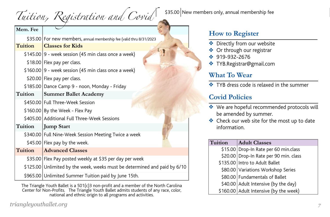|  | Tuition, Registration and Covid |  |
|--|---------------------------------|--|
|--|---------------------------------|--|

| Mem. Fee |                                                                           |
|----------|---------------------------------------------------------------------------|
|          | \$35.00 For new members, annual membership fee (valid thru 8/31/2023      |
| Tuition  | <b>Classes for Kids</b>                                                   |
|          | $$145.00$ 9 - week session (45 min class once a week)                     |
|          | \$18.00 Flex pay per class.                                               |
|          | $$160.00$ 9 - week session (45 min class once a week)                     |
|          | \$20.00 Flex pay per class.                                               |
|          | \$185.00 Dance Camp 9 - noon, Monday - Friday                             |
| Tuition  | <b>Summer Ballet Academy</b>                                              |
|          | \$450.00 Full Three-Week Session                                          |
|          | \$160.00 By the Week - Flex Pay                                           |
|          | \$405.00 Additional Full Three-Week Sessions                              |
| Tuition  | Jump Start                                                                |
|          | \$340.00 Full Nine-Week Session Meeting Twice a week                      |
|          | \$45.00 Flex pay by the week.                                             |
| Tuition  | <b>Advanced Classes</b>                                                   |
|          | \$35.00 Flex Pay posted weekly at \$35 per day per week                   |
|          | \$125.00 Unlimited by the week, weeks must be determined and paid by 6/10 |
|          | \$965.00 Unlimited Summer Tuition paid by June 15th.                      |

The Triangle Youth Ballet is a 501(c)3 non-profit and a member of the North Carolina Center for Non-Profits. The Triangle Youth Ballet admits students of any race, color, national and ethnic origin to all programs and activities.

*triangleyouthallet.org 7*

\$35.00 New members only, annual membership fee

# **How to Register**

- ❖ Directly from our website
- ❖ Or through our registrar
- ❖ 919-932-2676
- ❖ TYB.Registrar@gmail.com

#### **What To Wear**

❖ TYB dress code is relaxed in the summer

# **Covid Policies**

- ❖ We are hopeful recommended protocols will be amended by summer.
- ❖ Check our web site for the most up to date information.

| Tuition | <b>Adult Classes</b>                   |
|---------|----------------------------------------|
|         | \$15.00 Drop-In Rate per 60 min.class  |
|         | \$20.00 Drop-In Rate per 90 min. class |
|         | \$135.00 Intro to Adult Ballet         |
|         | \$80.00 Variations Workshop Series     |
|         | \$80.00 Fundamentals of Ballet         |
|         | \$40.00 Adult Intensive (by the day)   |
|         | \$160.00 Adult Intensive (by the week) |